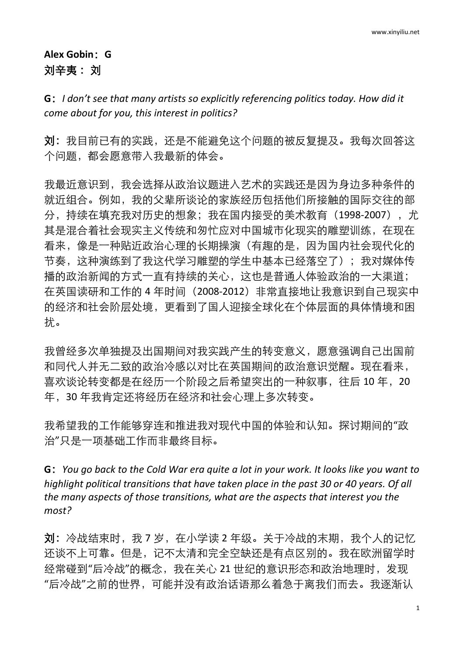## **Alex Gobin**:**G** 刘辛夷: 刘

**G**:*I don't see that many artists so explicitly referencing politics today. How did it come about for you, this interest in politics?*

刘:我目前已有的实践,还是不能避免这个问题的被反复提及。我每次回答这 个问题,都会愿意带入我最新的体会。

我最近意识到,我会选择从政治议题进入艺术的实践还是因为身边多种条件的 就近组合。例如,我的父辈所谈论的家族经历包括他们所接触的国际交往的部 分, 持续在填充我对历史的想象;我在国内接受的美术教育 (1998-2007), 尤 其是混合着社会现实主义传统和匆忙应对中国城市化现实的雕塑训练,在现在 看来,像是一种贴近政治心理的长期操演(有趣的是,因为国内社会现代化的 节奏,这种演练到了我这代学习雕塑的学生中基本已经落空了);我对媒体传 播的政治新闻的方式一直有持续的关心,这也是普通人体验政治的一大渠道; 在英国读研和工作的 4 年时间(2008-2012)非常直接地让我意识到自己现实中 的经济和社会阶层处境,更看到了国人迎接全球化在个体层面的具体情境和困 扰。

我曾经多次单独提及出国期间对我实践产生的转变意义,愿意强调自己出国前 和同代人并无二致的政治冷感以对比在英国期间的政治意识觉醒。现在看来, 喜欢谈论转变都是在经历一个阶段之后希望突出的一种叙事,往后 10 年, 20 年,30 年我肯定还将经历在经济和社会心理上多次转变。

我希望我的工作能够穿连和推进我对现代中国的体验和认知。探讨期间的"政 治"只是一项基础工作而非最终目标。

G: You go back to the Cold War era quite a lot in your work. It looks like you want to *highlight political transitions that have taken place in the past 30 or 40 years. Of all the many aspects of those transitions, what are the aspects that interest you the most?*

刘:冷战结束时,我 7 岁, 在小学读 2 年级。关于冷战的末期,我个人的记忆 还谈不上可靠。但是,记不太清和完全空缺还是有点区别的。我在欧洲留学时 经常碰到"后冷战"的概念,我在关心 21 世纪的意识形态和政治地理时,发现 "后冷战"之前的世界,可能并没有政治话语那么着急于离我们而去。我逐渐认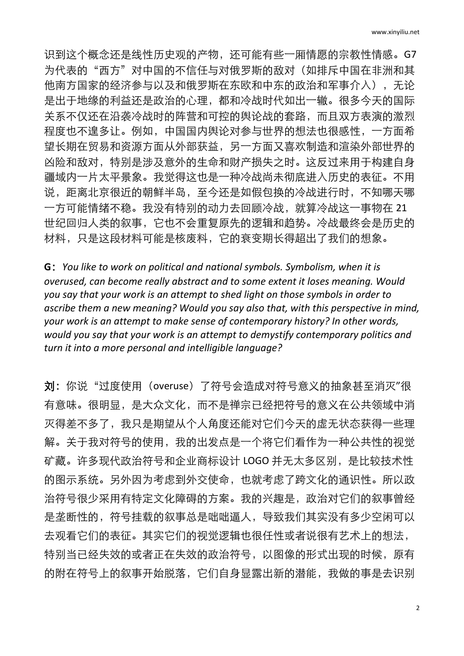识到这个概念还是线性历史观的产物,还可能有些一厢情愿的宗教性情感。G7 为代表的"西方"对中国的不信任与对俄罗斯的敌对(如排斥中国在非洲和其 他南方国家的经济参与以及和俄罗斯在东欧和中东的政治和军事介入),无论 是出于地缘的利益还是政治的心理,都和冷战时代如出一辙。很多今天的国际 关系不仅还在沿袭冷战时的阵营和可控的舆论战的套路,而且双方表演的激烈 程度也不遑多让。例如,中国国内舆论对参与世界的想法也很感性,一方面希 望长期在贸易和资源方面从外部获益,另一方面又喜欢制造和渲染外部世界的 凶险和敌对,特别是涉及意外的生命和财产损失之时。这反过来用于构建自身 疆域内一片太平景象。我觉得这也是一种冷战尚未彻底进入历史的表征。不用 说,距离北京很近的朝鲜半岛,至今还是如假包换的冷战进行时,不知哪天哪 一方可能情绪不稳。我没有特别的动力去回顾冷战,就算冷战这一事物在 21 世纪回归人类的叙事,它也不会重复原先的逻辑和趋势。冷战最终会是历史的 材料,只是这段材料可能是核废料,它的衰变期长得超出了我们的想象。

**G**:*You like to work on political and national symbols. Symbolism, when it is overused, can become really abstract and to some extent it loses meaning. Would you say that your work is an attempt to shed light on those symbols in order to ascribe them a new meaning? Would you say also that, with this perspective in mind, your work is an attempt to make sense of contemporary history? In other words, would you say that your work is an attempt to demystify contemporary politics and turn it into a more personal and intelligible language?*

刘: 你说"过度使用 (overuse) 了符号会造成对符号意义的抽象甚至消灭"很 有意味。很明显,是大众文化,而不是禅宗已经把符号的意义在公共领域中消 灭得差不多了,我只是期望从个人角度还能对它们今天的虚无状态获得一些理 解。关于我对符号的使用,我的出发点是一个将它们看作为一种公共性的视觉 矿藏。许多现代政治符号和企业商标设计 LOGO 并无太多区别,是比较技术性 的图示系统。另外因为考虑到外交使命,也就考虑了跨文化的通识性。所以政 治符号很少采用有特定文化障碍的方案。我的兴趣是,政治对它们的叙事曾经 是垄断性的,符号挂载的叙事总是咄咄逼人,导致我们其实没有多少空闲可以 去观看它们的表征。其实它们的视觉逻辑也很任性或者说很有艺术上的想法, 特别当已经失效的或者正在失效的政治符号,以图像的形式出现的时候,原有 的附在符号上的叙事开始脱落,它们自身显露出新的潜能,我做的事是去识别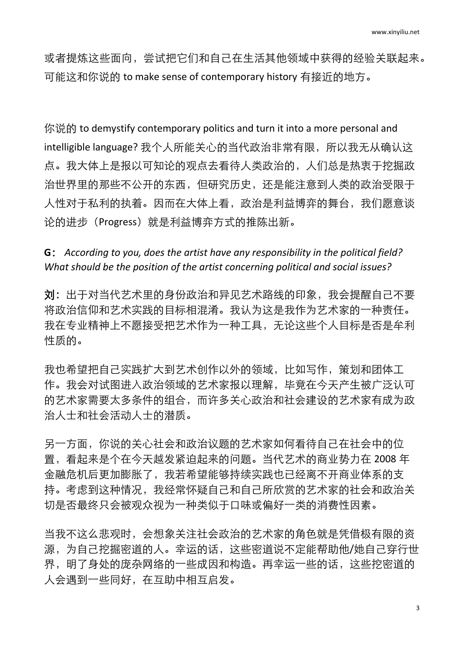或者提炼这些面向,尝试把它们和自己在生活其他领域中获得的经验关联起来。 可能这和你说的 to make sense of contemporary history 有接近的地方。

你说的 to demystify contemporary politics and turn it into a more personal and intelligible language? 我个人所能关心的当代政治非常有限, 所以我无从确认这 点。我大体上是报以可知论的观点去看待人类政治的,人们总是热衷于挖掘政 治世界里的那些不公开的东西,但研究历史,还是能注意到人类的政治受限于 人性对于私利的执着。因而在大体上看,政治是利益博弈的舞台,我们愿意谈 论的进步(Progress)就是利益博弈方式的推陈出新。

**G**: *According to you, does the artist have any responsibility in the political field? What should be the position of the artist concerning political and social issues?*

刘:出于对当代艺术里的身份政治和异见艺术路线的印象,我会提醒自己不要 将政治信仰和艺术实践的目标相混淆。我认为这是我作为艺术家的一种责任。 我在专业精神上不愿接受把艺术作为一种工具,无论这些个人目标是否是牟利 性质的。

我也希望把自己实践扩大到艺术创作以外的领域,比如写作,策划和团体工 作。我会对试图进入政治领域的艺术家报以理解,毕竟在今天产生被广泛认可 的艺术家需要太多条件的组合,而许多关心政治和社会建设的艺术家有成为政 治人士和社会活动人士的潜质。

另一方面,你说的关心社会和政治议题的艺术家如何看待自己在社会中的位 置,看起来是个在今天越发紧迫起来的问题。当代艺术的商业势力在 2008 年 金融危机后更加膨胀了,我若希望能够持续实践也已经离不开商业体系的支 持。考虑到这种情况,我经常怀疑自己和自己所欣赏的艺术家的社会和政治关 切是否最终只会被观众视为一种类似于口味或偏好一类的消费性因素。

当我不这么悲观时,会想象关注社会政治的艺术家的角色就是凭借极有限的资 源,为自己挖掘密道的人。幸运的话,这些密道说不定能帮助他/她自己穿行世 界,明了身处的庞杂网络的一些成因和构造。再幸运一些的话,这些挖密道的 人会遇到一些同好,在互助中相互启发。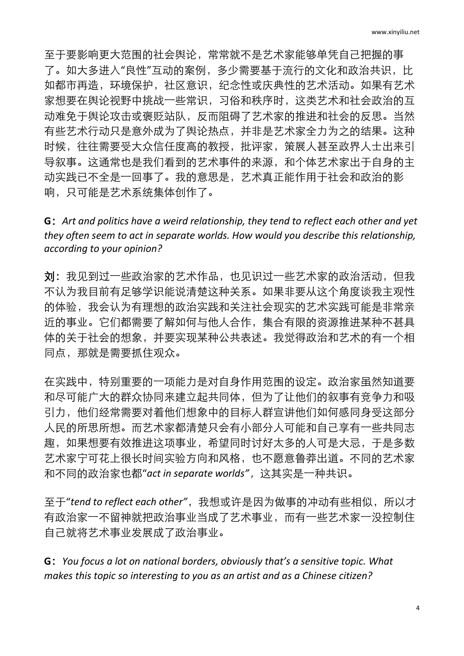至于要影响更大范围的社会舆论,常常就不是艺术家能够单凭自己把握的事 了。如大多进入"良性"互动的案例,多少需要基于流行的文化和政治共识,比 如都市再造,环境保护,社区意识,纪念性或庆典性的艺术活动。如果有艺术 家想要在舆论视野中挑战一些常识,习俗和秩序时,这类艺术和社会政治的互 动难免于舆论攻击或褒贬站队,反而阻碍了艺术家的推进和社会的反思。当然 有些艺术行动只是意外成为了舆论热点,并非是艺术家全力为之的结果。这种 时候,往往需要受大众信任度高的教授,批评家,策展人甚至政界人士出来引 导叙事。这通常也是我们看到的艺术事件的来源,和个体艺术家出于自身的主 动实践已不全是一回事了。我的意思是,艺术真正能作用于社会和政治的影 响,只可能是艺术系统集体创作了。

**G**:*Art and politics have a weird relationship, they tend to reflect each other and yet they often seem to act in separate worlds. How would you describe this relationship, according to your opinion?*

刘:我见到过一些政治家的艺术作品,也见识过一些艺术家的政治活动,但我 不认为我目前有足够学识能说清楚这种关系。如果非要从这个角度谈我主观性 的体验,我会认为有理想的政治实践和关注社会现实的艺术实践可能是非常亲 近的事业。它们都需要了解如何与他人合作,集合有限的资源推进某种不甚具 体的关于社会的想象,并要实现某种公共表述。我觉得政治和艺术的有一个相 同点,那就是需要抓住观众。

在实践中,特别重要的一项能力是对自身作用范围的设定。政治家虽然知道要 和尽可能广大的群众协同来建立起共同体,但为了让他们的叙事有竞争力和吸 引力,他们经常需要对着他们想象中的目标人群宣讲他们如何感同身受这部分 人民的所思所想。而艺术家都清楚只会有小部分人可能和自己享有一些共同志 趣,如果想要有效推进这项事业,希望同时讨好太多的人可是大忌,于是多数 艺术家宁可花上很长时间实验方向和风格,也不愿意鲁莽出道。不同的艺术家 和不同的政治家也都"*act in separate worlds"*,这其实是一种共识。

至于"*tend to reflect each other"*,我想或许是因为做事的冲动有些相似,所以才 有政治家一不留神就把政治事业当成了艺术事业,而有一些艺术家一没控制住 自己就将艺术事业发展成了政治事业。

**G**:*You focus a lot on national borders, obviously that's a sensitive topic. What makes this topic so interesting to you as an artist and as a Chinese citizen?*

4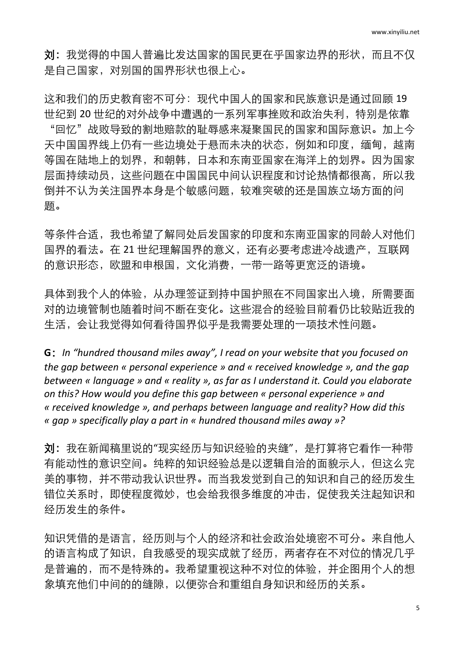刘:我觉得的中国人普遍比发达国家的国民更在乎国家边界的形状,而且不仅 是自己国家,对别国的国界形状也很上心。

这和我们的历史教育密不可分:现代中国人的国家和民族意识是通过回顾 19 世纪到 20 世纪的对外战争中遭遇的一系列军事挫败和政治失利,特别是依靠 "回忆"战败导致的割地赔款的耻辱感来凝聚国民的国家和国际意识。加上今 天中国国界线上仍有一些边境处于悬而未决的状态, 例如和印度, 缅甸, 越南 等国在陆地上的划界,和朝韩,日本和东南亚国家在海洋上的划界。因为国家 层面持续动员,这些问题在中国国民中间认识程度和讨论热情都很高,所以我 倒并不认为关注国界本身是个敏感问题,较难突破的还是国族立场方面的问 题。

等条件合话,我也希望了解同处后发国家的印度和东南亚国家的同龄人对他们 国界的看法。在 21 世纪理解国界的意义,还有必要考虑进冷战遗产,互联网 的意识形态,欧盟和申根国,文化消费,一带一路等更宽泛的语境。

具体到我个人的体验,从办理签证到持中国护照在不同国家出入境,所需要面 对的边境管制也随着时间不断在变化。这些混合的经验目前看仍比较贴近我的 生活,会让我觉得如何看待国界似乎是我需要处理的一项技术性问题。

**G**:*In "hundred thousand miles away", I read on your website that you focused on the gap between « personal experience » and « received knowledge », and the gap between « language » and « reality », as far as I understand it. Could you elaborate on this? How would you define this gap between « personal experience » and « received knowledge », and perhaps between language and reality? How did this « gap » specifically play a part in « hundred thousand miles away »?* 

刘:我在新闻稿里说的"现实经历与知识经验的夹缝",是打算将它看作一种带 有能动性的意识空间。纯粹的知识经验总是以逻辑自洽的面貌示人,但这么完 美的事物,并不带动我认识世界。而当我发觉到自己的知识和自己的经历发生 错位关系时,即使程度微妙,也会给我很多维度的冲击,促使我关注起知识和 经历发生的条件。

知识凭借的是语言,经历则与个人的经济和社会政治处境密不可分。来自他人 的语言构成了知识,自我感受的现实成就了经历,两者存在不对位的情况几乎 是普遍的,而不是特殊的。我希望重视这种不对位的体验,并企图用个人的想 象填充他们中间的的缝隙,以便弥合和重组自身知识和经历的关系。

5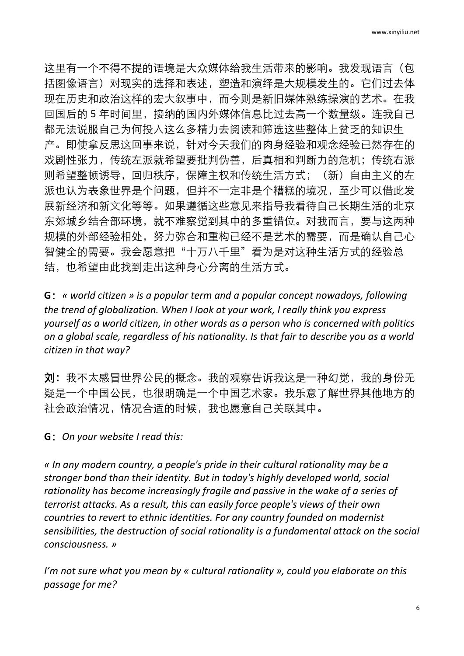这里有一个不得不提的语境是大众媒体给我生活带来的影响。我发现语言(包 括图像语言)对现实的选择和表述,塑造和演绎是大规模发生的。它们过去体 现在历史和政治这样的宏大叙事中,而今则是新旧媒体熟练操演的艺术。在我 回国后的 5 年时间里, 接纳的国内外媒体信息比过去高一个数量级。连我自己 都无法说服自己为何投入这么多精力去阅读和筛选这些整体上贫乏的知识生 产。即使拿反思这回事来说,针对今天我们的肉身经验和观念经验已然存在的 戏剧性张力,传统左派就希望要批判伪善,后真相和判断力的危机;传统右派 则希望整顿诱导,回归秩序,保障主权和传统生活方式;(新)自由主义的左 派也认为表象世界是个问题,但并不一定非是个糟糕的境况,至少可以借此发 展新经济和新文化等等。如果遵循这些意见来指导我看待自己长期生活的北京 东郊城乡结合部环境, 就不难察觉到其中的多重错位。对我而言, 要与这两种 规模的外部经验相处,努力弥合和重构已经不是艺术的需要,而是确认自己心 智健全的需要。我会愿意把"十万八千里"看为是对这种生活方式的经验总 结,也希望由此找到走出这种身心分离的生活方式。

**G**:*« world citizen » is a popular term and a popular concept nowadays, following the trend of globalization. When I look at your work, I really think you express yourself as a world citizen, in other words as a person who is concerned with politics on a global scale, regardless of his nationality. Is that fair to describe you as a world citizen in that way?*

刘:我不太感冒世界公民的概念。我的观察告诉我这是一种幻觉,我的身份无 疑是一个中国公民,也很明确是一个中国艺术家。我乐意了解世界其他地方的 社会政治情况,情况合适的时候,我也愿意自己关联其中。

**G**:*On your website I read this:*

*« In any modern country, a people's pride in their cultural rationality may be a stronger bond than their identity. But in today's highly developed world, social rationality has become increasingly fragile and passive in the wake of a series of terrorist attacks. As a result, this can easily force people's views of their own countries to revert to ethnic identities. For any country founded on modernist sensibilities, the destruction of social rationality is a fundamental attack on the social consciousness. »*

*I'm not sure what you mean by « cultural rationality », could you elaborate on this passage for me?*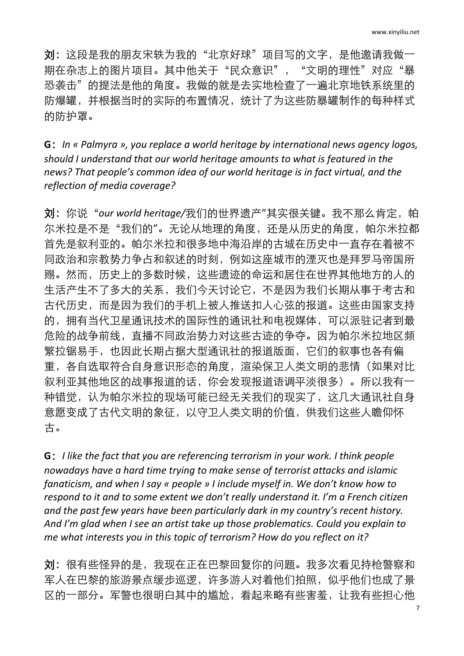刘:这段是我的朋友宋轶为我的"北京好球"项目写的文字,是他邀请我做一 期在杂志上的图片项目。其中他关于"民众意识","文明的理性"对应"暴 恐袭击"的提法是他的角度。我做的就是去实地检查了一遍北京地铁系统里的 防爆罐,并根据当时的实际的布置情况,统计了为这些防暴罐制作的每种样式 的防护罩。

**G**:*In « Palmyra », you replace a world heritage by international news agency logos, should I understand that our world heritage amounts to what is featured in the news? That people's common idea of our world heritage is in fact virtual, and the reflection of media coverage?*

刘:你说"*our world heritage/*我们的世界遗产"其实很关键。我不那么肯定,帕 尔米拉是不是"我们的"。无论从地理的角度,还是从历史的角度,帕尔米拉都 首先是叙利亚的。帕尔米拉和很多地中海沿岸的古城在历史中一直存在着被不 同政治和宗教势力争占和叙述的时刻,例如这座城市的湮灭也是拜罗马帝国所 赐。然而,历史上的多数时候,这些遗迹的命运和居住在世界其他地方的人的 生活产生不了多大的关系,我们今天讨论它,不是因为我们长期从事于考古和 古代历史,而是因为我们的手机上被人推送扣人心弦的报道。这些由国家支持 的,拥有当代卫星通讯技术的国际性的通讯社和电视媒体,可以派驻记者到最 危险的战争前线,直播不同政治势力对这些古迹的争夺。因为帕尔米拉地区频 繁拉锯易手,也因此长期占据大型通讯社的报道版面,它们的叙事也各有偏 重,各自选取符合自身意识形态的角度,渲染保卫人类文明的悲情(如果对比 叙利亚其他地区的战事报道的话,你会发现报道语调平淡很多)。所以我有一 种错觉,认为帕尔米拉的现场可能已经无关我们的现实了,这几大通讯社自身 意愿变成了古代文明的象征,以守卫人类文明的价值,供我们这些人瞻仰怀 古。

**G**:*I like the fact that you are referencing terrorism in your work. I think people nowadays have a hard time trying to make sense of terrorist attacks and islamic fanaticism, and when I say « people » I include myself in. We don't know how to respond to it and to some extent we don't really understand it. I'm a French citizen and the past few years have been particularly dark in my country's recent history. And I'm glad when I see an artist take up those problematics. Could you explain to me what interests you in this topic of terrorism? How do you reflect on it?*

刘:很有些怪异的是,我现在正在巴黎回复你的问题。我多次看见持枪警察和 军人在巴黎的旅游景点缓步巡逻,许多游人对着他们拍照,似乎他们也成了景 区的一部分。军警也很明白其中的尴尬,看起来略有些害羞,让我有些担心他